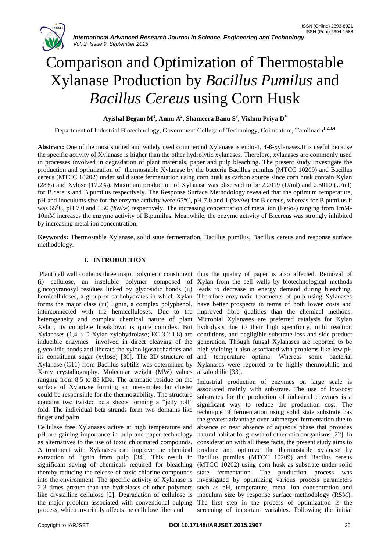

*International Advanced Research Journal in Science, Engineering and Technology Vol. 2, Issue 9, September 2015*

# Comparison and Optimization of Thermostable Xylanase Production by *Bacillus Pumilus* and *Bacillus Cereus* using Corn Husk

# **Ayishal Begam M<sup>1</sup> , Annu A<sup>2</sup> , Shameera Banu S 3 , Vishnu Priya D 4**

Department of Industrial Biotechnology, Government College of Technology, Coimbatore, Tamilnadu**1,2,3,4**

**Abstract:** One of the most studied and widely used commercial Xylanase is endo-1, 4-ß-xylanases.It is useful because the specific activity of Xylanase is higher than the other hydrolytic xylanases. Therefore, xylanases are commonly used in processes involved in degradation of plant materials, paper and pulp bleaching. The present study investigate the production and optimization of thermostable Xylanase by the bacteria Bacillus pumilus (MTCC 10209) and Bacillus cereus (MTCC 10202) under solid state fermentation using corn husk as carbon source since corn husk contain Xylan (28%) and Xylose (17.2%). Maximum production of Xylanase was observed to be 2.2019 (U/ml) and 2.5010 (U/ml) for B.cereus and B.pumilus respectively. The Response Surface Methodology revealed that the optimum temperature, pH and inoculums size for the enzyme activity were 65 $^{\circ}$ C, pH 7.0 and 1 (%v/w) for B.cereus, whereas for B.pumilus it was 65 $^{\circ}$ C, pH 7.0 and 1.50 (%v/w) respectively. The increasing concentration of metal ion (FeSo<sub>4</sub>) ranging from 1mM-10mM increases the enzyme activity of B.pumilus. Meanwhile, the enzyme activity of B.cereus was strongly inhibited by increasing metal ion concentration.

**Keywords:** Thermostable Xylanase, solid state fermentation, Bacillus pumilus, Bacillus cereus and response surface methodology.

# **I. INTRODUCTION**

(i) cellulose, an insoluble polymer composed of Xylan from the cell walls by biotechnological methods glucopyranosyl residues linked by glycosidic bonds (ii) leads to decrease in energy demand during bleaching. hemicelluloses, a group of carbohydrates in which Xylan forms the major class (iii) lignin, a complex polyphenol, interconnected with the hemicelluloses. Due to the heterogeneity and complex chemical nature of plant Xylan, its complete breakdown is quite complex. But Xylanases (1,4-β-D-Xylan xylohydrolase; EC 3.2.1.8) are inducible enzymes involved in direct cleaving of the glycosidic bonds and liberate the xylooligosaccharides and its constituent sugar (xylose) [30]. The 3D structure of Xylanase (G11) from Bacillus subtilis was determined by X-ray crystallography. Molecular weight (MW) values ranging from 8.5 to 85 kDa. The aromatic residue on the surface of Xylanase forming an inter-molecular cluster could be responsible for the thermostability. The structure contains two twisted beta sheets forming a "jelly roll" fold. The individual beta strands form two domains like finger and palm

Cellulase free Xylanases active at high temperature and pH are gaining importance in pulp and paper technology as alternatives to the use of toxic chlorinated compounds. A treatment with Xylanases can improve the chemical extraction of lignin from pulp [34]. This result in Bacillus pumilus (MTCC 10209) and Bacilus cereus significant saving of chemicals required for bleaching thereby reducing the release of toxic chlorine compounds into the environment. The specific activity of Xylanase is 2-3 times greater than the hydrolases of other polymers like crystalline cellulose [2]. Degradation of cellulose is the major problem associated with conventional pulping The first step in the process of optimization is the process, which invariably affects the cellulose fiber and

Plant cell wall contains three major polymeric constituent thus the quality of paper is also affected. Removal of Therefore enzymatic treatments of pulp using Xylanases have better prospects in terms of both lower costs and improved fibre qualities than the chemical methods. Microbial Xylanases are preferred catalysis for Xylan hydrolysis due to their high specificity, mild reaction conditions, and negligible substrate loss and side product generation. Though fungal Xylanases are reported to be high yielding it also associated with problems like low pH and temperature optima. Whereas some bacterial Xylanases were reported to be highly thermophilic and alkalophilic [33].

> Industrial production of enzymes on large scale is associated mainly with substrate. The use of low-cost substrates for the production of industrial enzymes is a significant way to reduce the production cost. The technique of fermentation using solid state substrate has the greatest advantage over submerged fermentation due to absence or near absence of aqueous phase that provides natural habitat for growth of other microorganisms [22]. In consideration with all these facts, the present study aims to produce and optimize the thermostable xylanase by (MTCC 10202) using corn husk as substrate under solid state fermentation. The production process was investigated by optimizing various process parameters such as pH, temperature, metal ion concentration and inoculum size by response surface methodology (RSM). screening of important variables. Following the initial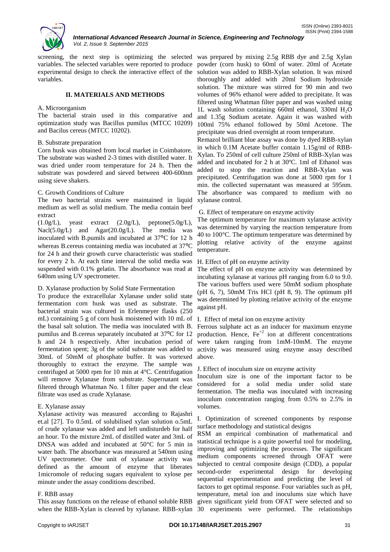

screening, the next step is optimizing the selected was prepared by mixing 2.5g RBB dye and 2.5g Xylan variables. The selected variables were reported to produce powder (corn husk) to 60ml of water. 20ml of Acetate experimental design to check the interactive effect of the variables.

## **II. MATERIALS AND METHODS**

#### A. Microorganism

The bacterial strain used in this comparative and optimization study was Bacillus pumilus (MTCC 10209) and Bacilus cereus (MTCC 10202).

### B. Substrate preparation

Corn husk was obtained from local market in Coimbatore. The substrate was washed 2-3 times with distilled water. It was dried under room temperature for 24 h. Then the substrate was powdered and sieved between 400-600nm using sieve shakers.

# C. Growth Conditions of Culture

The two bacterial strains were maintained in liquid medium as well as solid medium. The media contain beef extract

 $(1.0g/L)$ , yeast extract  $(2.0g/L)$ , peptone(5.0g/L), Nacl(5.0g/L) and Agar(20.0g/L). The media was inoculated with B.pumils and incubated at 37°C for 12 h whereas B.cereus containing media was incubated at 37°C for 24 h and their growth curve characteristic was studied for every 2 h. At each time interval the solid media was suspended with 0.1% gelatin. The absorbance was read at 640nm using UV spectrometer.

# D. Xylanase production by Solid State Fermentation

To produce the extracellular Xylanase under solid state fermentation corn husk was used as substrate. The bacterial strain was cultured in Erlenmeyer flasks (250 mL) containing 5 g of corn husk moistened with 10 mL of the basal salt solution. The media was inoculated with B. pumilus and B cereus separately incubated at 37<sup>o</sup>C for 12 h and 24 h respectively. After incubation period of fermentation spent; 3g of the solid substrate was added to 30mL of 50mM of phosphate buffer. It was vortexed thoroughly to extract the enzyme. The sample was centrifuged at 5000 rpm for 10 min at 4°C. Centrifugation will remove Xylanase from substrate. Supernatant was filtered through Whatman No. 1 filter paper and the clear filtrate was used as crude Xylanase.

# E. Xylanase assay

Xylanase activity was measured according to Rajashri et.al [27]. To 0.5mL of solubilised xylan solution o.5mL of crude xylanase was added and left undisturdeb for half an hour. To the mixture 2mL of distilled water and 3mL of DNSA was added and incubated at 50°C for 5 min in water bath. The absorbance was measured at 540nm using UV spectrometer. One unit of xylanase activity was defined as the amount of enzyme that liberates 1micromole of reducing sugars equivalent to xylose per minute under the assay conditions described.

#### F. RBB assay

This assay functions on the release of ethanol soluble RBB when the RBB-Xylan is cleaved by xylanase. RBB-xylan 30 experiments were performed. The relationships

solution was added to RBB-Xylan solution. It was mixed thoroughly and added with 20ml Sodium hydroxide solution. The mixture was stirred for 90 min and two volumes of 96% ethanol were added to precipitate. It was filtered using Whatman filter paper and was washed using 1L wash solution containing 660ml ethanol, 330ml  $H_2O$ and 1.35g Sodium acetate. Again it was washed with 100ml 75% ethanol followed by 50ml Acetone. The precipitate was dried overnight at room temperature.

Remazol brilliant blue assay was done by dyed RBB-xylan in which 0.1M Acetate buffer contain 1.15g/ml of RBB-Xylan. To 250ml of cell culture 250ml of RBB-Xylan was added and incubated for 2 h at 30ºC. 1ml of Ethanol was added to stop the reaction and RBB-Xylan was precipitated. Centrifugation was done at 5000 rpm for 1 min. the collected supernatant was measured at 595nm. The absorbance was compared to medium with no xylanase control.

### G. Effect of temperature on enzyme activity

The optimum temperature for maximum xylanase activity was determined by varying the reaction temperature from 40 to 100°C. The optimum temperature was determined by plotting relative activity of the enzyme against temperature.

### H. Effect of pH on enzyme activity

The effect of pH on enzyme activity was determined by incubating xylanase at various pH ranging from 6.0 to 9.0. The various buffers used were 50mM sodium phosphate  $(pH 6, 7)$ , 50mM Tris HCl  $(pH 8, 9)$ . The optimum pH was determined by plotting relative activity of the enzyme against pH.

#### I. Effect of metal ion on enzyme activity

Ferrous sulphate act as an inducer for maximum enzyme production. Hence,  $Fe^{+2}$  ion at different concentrations were taken ranging from 1mM-10mM. The enzyme activity was measured using enzyme assay described above.

#### J. Effect of inoculum size on enzyme activity

Inoculum size is one of the important factor to be considered for a solid media under solid state fermentation. The media was inoculated with increasing inoculum concentration ranging from 0.5% to 2.5% in volumes.

I. Optimization of screened components by response surface methodology and statistical designs

RSM an empirical combination of mathematical and statistical technique is a quite powerful tool for modeling, improving and optimizing the processes. The significant medium components screened through OFAT were subjected to central composite design (CDD), a popular second-order experimental design for developing sequential experimentation and predicting the level of factors to get optimal response. Four variables such as pH, temperature, metal ion and inoculums size which have given significant yield from OFAT were selected and so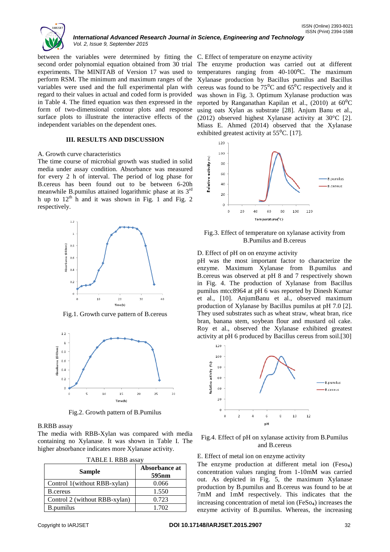

#### *International Advanced Research Journal in Science, Engineering and Technology Vol. 2, Issue 9, September 2015*

between the variables were determined by fitting the C. Effect of temperature on enzyme activity second order polynomial equation obtained from 30 trial experiments. The MINITAB of Version 17 was used to perform RSM. The minimum and maximum ranges of the variables were used and the full experimental plan with regard to their values in actual and coded form is provided in Table 4. The fitted equation was then expressed in the form of two-dimensional contour plots and response surface plots to illustrate the interactive effects of the independent variables on the dependent ones.

### **III. RESULTS AND DISCUSSION**

#### A. Growth curve characteristics

The time course of microbial growth was studied in solid media under assay condition. Absorbance was measured for every 2 h of interval. The period of log phase for B.cereus has been found out to be between 6-20h meanwhile B.pumilus attained logarithmic phase at its 3rd h up to  $12<sup>th</sup>$  h and it was shown in Fig. 1 and Fig. 2 respectively.



Fig.1. Growth curve pattern of B.cereus



Fig.2. Growth pattern of B.Pumilus

#### B.RBB assay

The media with RBB-Xylan was compared with media containing no Xylanase. It was shown in Table I. The higher absorbance indicates more Xylanase activity.

| <b>Sample</b>                 | Absorbance at<br>595 <sub>nm</sub> |  |  |
|-------------------------------|------------------------------------|--|--|
| Control 1(without RBB-xylan)  | 0.066                              |  |  |
| B.cereus                      | 1.550                              |  |  |
| Control 2 (without RBB-xylan) | 0.723                              |  |  |
| <b>B.pumilus</b>              | 1.702                              |  |  |

The enzyme production was carried out at different temperatures ranging from 40-100°C. The maximum Xylanase production by Bacillus pumilus and Bacillus cereus was found to be  $75^{\circ}$ C and  $65^{\circ}$ C respectively and it was shown in Fig. 3. Optimum Xylanase production was reported by Ranganathan Kapilan et al., (2010) at  $60^{\circ}$ C using oats Xylan as substrate [28]. Anjum Banu et al., (2012) observed highest Xylanase activity at 30°C [2]. Miass E. Ahmed (2014) observed that the Xylanase exhibited greatest activity at  $55^{\circ}$ C. [17].



Fig.3. Effect of temperature on xylanase activity from B.Pumilus and B.cereus

#### D. Effect of pH on on enzyme activity

pH was the most important factor to characterize the enzyme. Maximum Xylanase from B.pumilus and B.cereus was observed at pH 8 and 7 respectively shown in Fig. 4. The production of Xylanase from Bacillus pumilus mtcc8964 at pH 6 was reported by Dinesh Kumar et al., [10]. AnjumBanu et al., observed maximum production of Xylanase by Bacillus pumilus at pH 7.0 [2]. They used substrates such as wheat straw, wheat bran, rice bran, banana stem, soybean flour and mustard oil cake. Roy et al., observed the Xylanase exhibited greatest activity at pH 6 produced by Bacillus cereus from soil.[30]



Fig.4. Effect of pH on xylanase activity from B.Pumilus and B.cereus

E. Effect of metal ion on enzyme activity

The enzyme production at different metal ion (Feso<sub>4</sub>) concentration values ranging from 1-10mM was carried out. As depicted in Fig. 5, the maximum Xylanase production by B.pumilus and B.cereus was found to be at 7mM and 1mM respectively. This indicates that the increasing concentration of metal ion  $(FeSo_4)$  increases the enzyme activity of B.pumilus. Whereas, the increasing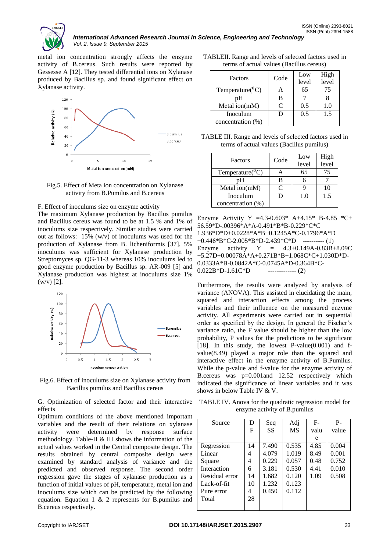

metal ion concentration strongly affects the enzyme activity of B.cereus. Such results were reported by Gessesse A [12]. They tested differential ions on Xylanase produced by Bacillus sp. and found significant effect on Xylanase activity.

*Vol. 2, Issue 9, September 2015*



Fig.5. Effect of Meta ion concentration on Xylanase activity from B.Pumilus and B.cereus

F. Effect of inoculums size on enzyme activity

The maximum Xylanase production by Bacillus pumilus and Bacillus cereus was found to be at 1.5 % and 1% of inoculums size respectively. Similar studies were carried out as follows: 15% (w/v) of inoculums was used for the production of Xylanase from B. licheniformis [37]. 5% inoculums was sufficient for Xylanase production by Streptomyces sp. QG-11-3 whereas 10% inoculums led to good enzyme production by Bacillus sp. AR-009 [5] and Xylanase production was highest at inoculums size 1%  $(w/v)$  [2].



Fig.6. Effect of inoculums size on Xylanase activity from Bacillus pumilus and Bacillus cereus

G. Optimization of selected factor and their interactive effects

Optimum conditions of the above mentioned important variables and the result of their relations on xylanase activity were determined by response surface methodology. Table-II & III shows the information of the actual values worked in the Central composite design. The results obtained by central composite design were examined by standard analysis of variance and the predicted and observed response. The second order regression gave the stages of xylanase production as a function of initial values of pH, temperature, metal ion and inoculums size which can be predicted by the following equation. Equation 1 & 2 represents for B.pumilus and B.cereus respectively.

| TABLEII. Range and levels of selected factors used in |  |
|-------------------------------------------------------|--|
| terms of actual values (Bacillus cereus)              |  |

| Factors                | Code | Low<br>level | High<br>level |
|------------------------|------|--------------|---------------|
| Temperature( ${}^0C$ ) |      | 65           | 75            |
| pН                     |      |              |               |
| Metal ion(mM)          | ⊂    | 0.5          | 1.0           |
| Inoculum               |      | 0.5          | 1.5           |
| concentration (%)      |      |              |               |

TABLE III. Range and levels of selected factors used in terms of actual values (Bacillus pumilus)

|                        |      | Low   | High  |
|------------------------|------|-------|-------|
| Factors                | Code | level | level |
| Temperature( ${}^0C$ ) |      | 65    | 75    |
| nН                     | B    |       |       |
| Metal ion $(mM)$       |      |       | 10    |
| Inoculum               |      | 1.0   | 1.5   |
| concentration (%)      |      |       |       |

Enzyme Activity Y =4.3-0.603\* A+4.15\* B-4.85 \*C+ 56.59\*D-.00396\*A\*A-0.491\*B\*B-0.229\*C\*C 1.936\*D\*D+0.0228\*A\*B+0.1245A\*C-0.1796\*A\*D  $+0.446*B*C-2.005*B*D-2.439*C*D$  ---------- (1) Enzyme activity  $Y = 4.3+0.149A-0.83B+8.09C$ +5.27D+0.00078A\*A+0.271B\*B+1.068C\*C+1.030D\*D-0.0333A\*B-0.0842A\*C-0.0745A\*D-0.364B\*C- $0.022B*D-1.61C*D$  ------------- (2)

Furthermore, the results were analyzed by analysis of variance (ANOVA). This assisted in elucidating the main, squared and interaction effects among the process variables and their influence on the measured enzyme activity. All experiments were carried out in sequential order as specified by the design. In general the Fischer"s variance ratio, the F value should be higher than the low probability, P values for the predictions to be significant [18]. In this study, the lowest P-value $(0.001)$  and fvalue(8.49) played a major role than the squared and interactive effect in the enzyme activity of B.Pumilus. While the p-value and f-value for the enzyme activity of B.cereus was p=0.001and 12.52 respectively which indicated the significance of linear variables and it was shows in below Table IV & V.

TABLE IV. Anova for the quadratic regression model for enzyme activity of B.pumilus

| Source         | D  | Seq       | Adj   | $F-$ | $P -$ |
|----------------|----|-----------|-------|------|-------|
|                |    |           |       |      |       |
|                | F  | <b>SS</b> | MS    | valu | value |
|                |    |           |       | e    |       |
| Regression     | 14 | 7.490     | 0.535 | 4.85 | 0.004 |
| Linear         | 4  | 4.079     | 1.019 | 8.49 | 0.001 |
| Square         | 4  | 0.229     | 0.057 | 0.48 | 0.752 |
| Interaction    | 6  | 3.181     | 0.530 | 4.41 | 0.010 |
| Residual error | 14 | 1.682     | 0.120 | 1.09 | 0.508 |
| Lack-of-fit    | 10 | 1.232     | 0.123 |      |       |
| Pure error     | 4  | 0.450     | 0.112 |      |       |
| Total          | 28 |           |       |      |       |
|                |    |           |       |      |       |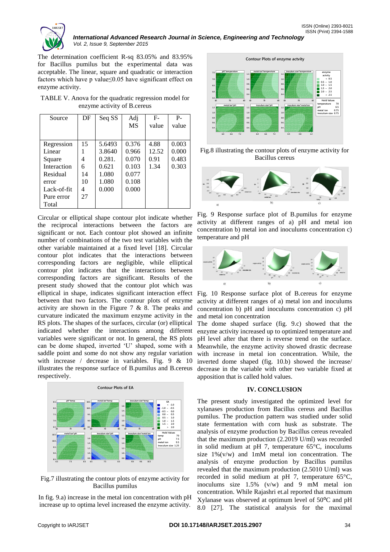

The determination coefficient R-sq 83.05% and 83.95% for Bacillus pumilus but the experimental data was acceptable. The linear, square and quadratic or interaction factors which have p value≤0.05 have significant effect on enzyme activity.

TABLE V. Anova for the quadratic regression model for enzyme activity of B.cereus

| Source      | DF | Seq SS | Adj<br>MS | $F-$<br>value | $P -$<br>value |
|-------------|----|--------|-----------|---------------|----------------|
| Regression  | 15 | 5.6493 | 0.376     | 4.88          | 0.003          |
| Linear      |    | 3.8640 | 0.966     | 12.52         | 0.000          |
| Square      | 4  | 0.281. | 0.070     | 0.91          | 0.483          |
| Interaction | 6  | 0.621  | 0.103     | 1.34          | 0.303          |
| Residual    | 14 | 1.080  | 0.077     |               |                |
| error       | 10 | 1.080  | 0.108     |               |                |
| Lack-of-fit | 4  | 0.000  | 0.000     |               |                |
| Pure error  | 27 |        |           |               |                |
| Total       |    |        |           |               |                |

Circular or elliptical shape contour plot indicate whether the reciprocal interactions between the factors are significant or not. Each contour plot showed an infinite number of combinations of the two test variables with the other variable maintained at a fixed level [18]. Circular contour plot indicates that the interactions between corresponding factors are negligible, while elliptical contour plot indicates that the interactions between corresponding factors are significant. Results of the present study showed that the contour plot which was elliptical in shape, indicates significant interaction effect between that two factors. The contour plots of enzyme activity are shown in the Figure 7  $& 8$ . The peaks and curvature indicated the maximum enzyme activity in the RS plots. The shapes of the surfaces, circular (or) elliptical indicated whether the interactions among different variables were significant or not. In general, the RS plots can be dome shaped, inverted "U" shaped, some with a saddle point and some do not show any regular variation with increase / decrease in variables. Fig. 9 & 10 illustrates the response surface of B.pumilus and B.cereus respectively.



Fig.7 illustrating the contour plots of enzyme activity for Bacillus pumilus

In fig. 9.a) increase in the metal ion concentration with pH increase up to optima level increased the enzyme activity.



Fig.8 illustrating the contour plots of enzyme activity for Bacillus cereus



Fig. 9 Response surface plot of B.pumilus for enzyme activity at different ranges of a) pH and metal ion concentration b) metal ion and inoculums concentration c) temperature and pH



Fig. 10 Response surface plot of B.cereus for enzyme activity at different ranges of a) metal ion and inoculums concentration b) pH and inoculums concentration c) pH and metal ion concentration

The dome shaped surface (fig. 9.c) showed that the enzyme activity increased up to optimized temperature and pH level after that there is reverse trend on the surface. Meanwhile, the enzyme activity showed drastic decrease with increase in metal ion concentration. While, the inverted dome shaped (fig. 10.b) showed the increase/ decrease in the variable with other two variable fixed at apposition that is called hold values.

#### **IV. CONCLUSION**

The present study investigated the optimized level for xylanases production from Bacillus cereus and Bacillus pumilus. The production pattern was studied under solid state fermentation with corn husk as substrate. The analysis of enzyme production by Bacillus cereus revealed that the maximum production (2.2019 U/ml) was recorded in solid medium at pH 7, temperature 65°C, inoculums size  $1\%$  (v/w) and 1mM metal ion concentration. The analysis of enzyme production by Bacillus pumilus revealed that the maximum production (2.5010 U/ml) was recorded in solid medium at pH 7, temperature 65°C, inoculums size 1.5% (v/w) and 9 mM metal ion concentration. While Rajashri et.al reported that maximum Xylanase was observed at optimum level of  $50^{\circ}$ C and pH 8.0 [27]. The statistical analysis for the maximal